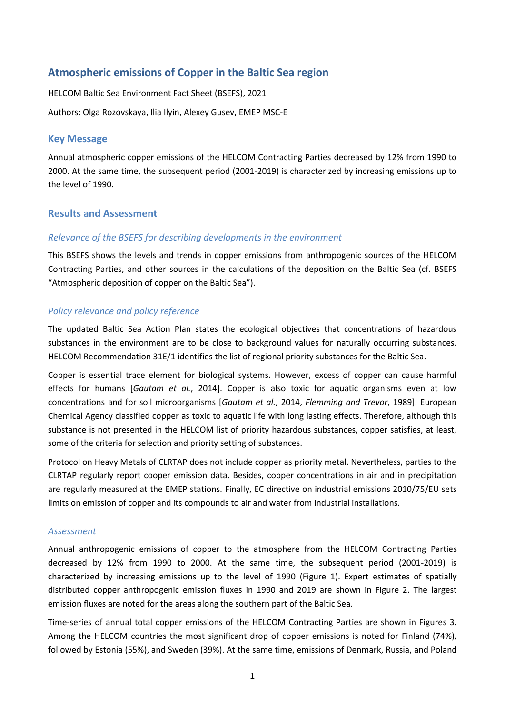# **Atmospheric emissions of Copper in the Baltic Sea region**

HELCOM Baltic Sea Environment Fact Sheet (BSEFS), 2021

Authors: Olga Rozovskaya, Ilia Ilyin, Alexey Gusev, EMEP MSC-E

### **Key Message**

Annual atmospheric copper emissions of the HELCOM Contracting Parties decreased by 12% from 1990 to 2000. At the same time, the subsequent period (2001-2019) is characterized by increasing emissions up to the level of 1990.

# **Results and Assessment**

### *Relevance of the BSEFS for describing developments in the environment*

This BSEFS shows the levels and trends in copper emissions from anthropogenic sources of the HELCOM Contracting Parties, and other sources in the calculations of the deposition on the Baltic Sea (cf. BSEFS "Atmospheric deposition of copper on the Baltic Sea").

### *Policy relevance and policy reference*

The updated Baltic Sea Action Plan states the ecological objectives that concentrations of hazardous substances in the environment are to be close to background values for naturally occurring substances. HELCOM Recommendation 31E/1 identifies the list of regional priority substances for the Baltic Sea.

Copper is essential trace element for biological systems. However, excess of copper can cause harmful effects for humans [*Gautam et al.*, 2014]. Copper is also toxic for aquatic organisms even at low concentrations and for soil microorganisms [*Gautam et al.*, 2014, *Flemming and Trevor*, 1989]. European Chemical Agency classified copper as toxic to aquatic life with long lasting effects. Therefore, although this substance is not presented in the HELCOM list of priority hazardous substances, copper satisfies, at least, some of the criteria for selection and priority setting of substances.

Protocol on Heavy Metals of CLRTAP does not include copper as priority metal. Nevertheless, parties to the CLRTAP regularly report cooper emission data. Besides, copper concentrations in air and in precipitation are regularly measured at the EMEP stations. Finally, EC directive on industrial emissions 2010/75/EU sets limits on emission of copper and its compounds to air and water from industrial installations.

#### *Assessment*

Annual anthropogenic emissions of copper to the atmosphere from the HELCOM Contracting Parties decreased by 12% from 1990 to 2000. At the same time, the subsequent period (2001-2019) is characterized by increasing emissions up to the level of 1990 (Figure 1). Expert estimates of spatially distributed copper anthropogenic emission fluxes in 1990 and 2019 are shown in Figure 2. The largest emission fluxes are noted for the areas along the southern part of the Baltic Sea.

Time-series of annual total copper emissions of the HELCOM Contracting Parties are shown in Figures 3. Among the HELCOM countries the most significant drop of copper emissions is noted for Finland (74%), followed by Estonia (55%), and Sweden (39%). At the same time, emissions of Denmark, Russia, and Poland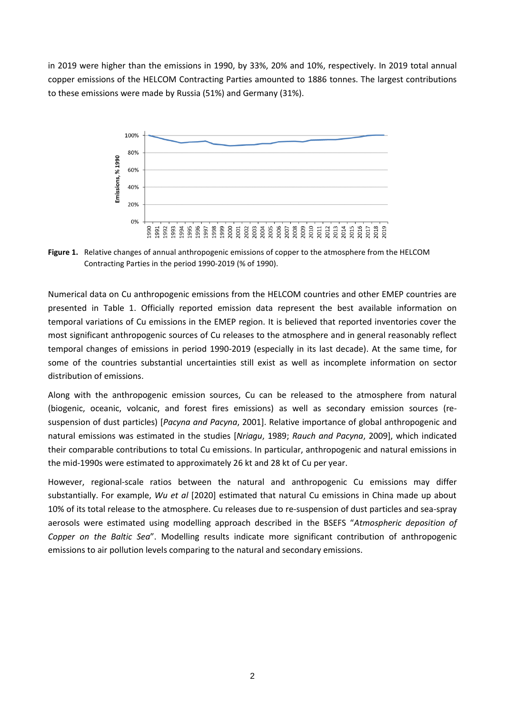in 2019 were higher than the emissions in 1990, by 33%, 20% and 10%, respectively. In 2019 total annual copper emissions of the HELCOM Contracting Parties amounted to 1886 tonnes. The largest contributions to these emissions were made by Russia (51%) and Germany (31%).



**Figure 1.** Relative changes of annual anthropogenic emissions of copper to the atmosphere from the HELCOM Contracting Parties in the period 1990-2019 (% of 1990).

Numerical data on Cu anthropogenic emissions from the HELCOM countries and other EMEP countries are presented in Table 1. Officially reported emission data represent the best available information on temporal variations of Cu emissions in the EMEP region. It is believed that reported inventories cover the most significant anthropogenic sources of Cu releases to the atmosphere and in general reasonably reflect temporal changes of emissions in period 1990-2019 (especially in its last decade). At the same time, for some of the countries substantial uncertainties still exist as well as incomplete information on sector distribution of emissions.

Along with the anthropogenic emission sources, Cu can be released to the atmosphere from natural (biogenic, oceanic, volcanic, and forest fires emissions) as well as secondary emission sources (resuspension of dust particles) [*Pacyna and Pacyna*, 2001]. Relative importance of global anthropogenic and natural emissions was estimated in the studies [*Nriagu*, 1989; *Rauch and Pacyna*, 2009], which indicated their comparable contributions to total Cu emissions. In particular, anthropogenic and natural emissions in the mid-1990s were estimated to approximately 26 kt and 28 kt of Cu per year.

However, regional-scale ratios between the natural and anthropogenic Cu emissions may differ substantially. For example, *Wu et al* [2020] estimated that natural Cu emissions in China made up about 10% of its total release to the atmosphere. Cu releases due to re-suspension of dust particles and sea-spray aerosols were estimated using modelling approach described in the BSEFS "*Atmospheric deposition of Copper on the Baltic Sea*". Modelling results indicate more significant contribution of anthropogenic emissions to air pollution levels comparing to the natural and secondary emissions.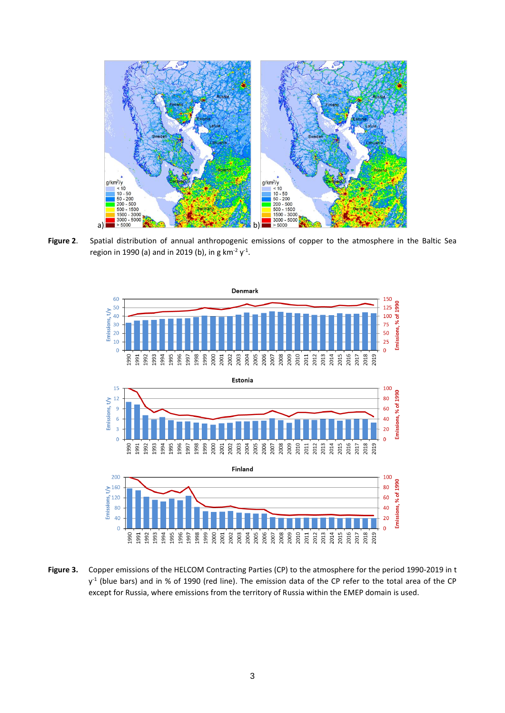

**Figure 2**. Spatial distribution of annual anthropogenic emissions of copper to the atmosphere in the Baltic Sea region in 1990 (a) and in 2019 (b), in g km<sup>-2</sup> y<sup>-1</sup>.



**Figure 3.** Copper emissions of the HELCOM Contracting Parties (CP) to the atmosphere for the period 1990-2019 in t  $y^1$  (blue bars) and in % of 1990 (red line). The emission data of the CP refer to the total area of the CP except for Russia, where emissions from the territory of Russia within the EMEP domain is used.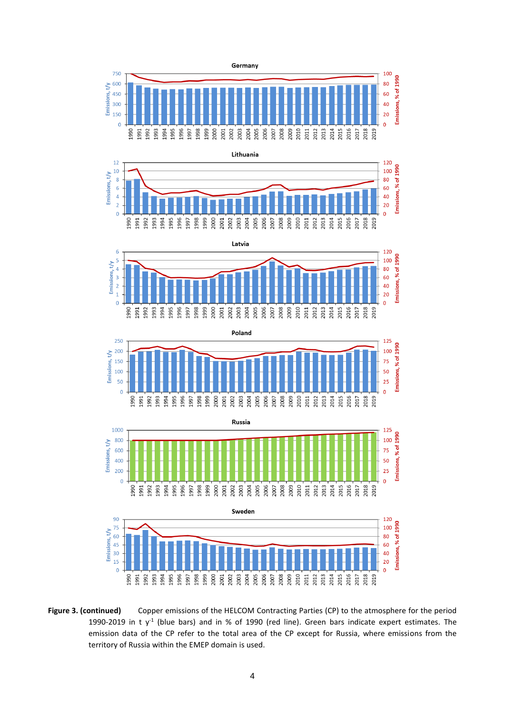









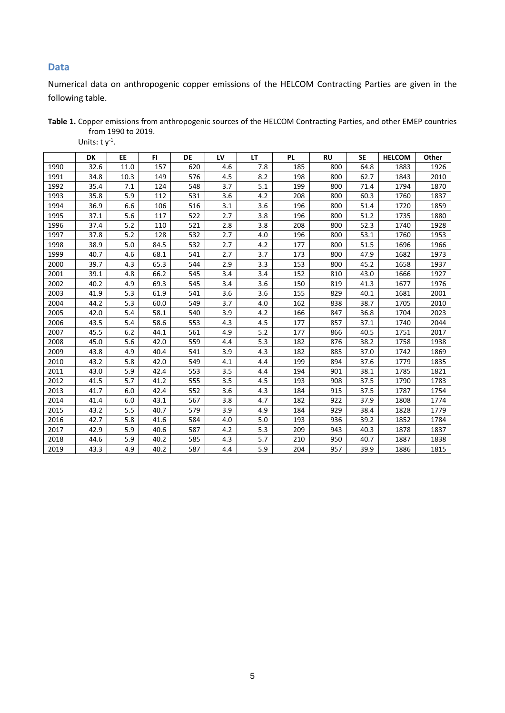# **Data**

Numerical data on anthropogenic copper emissions of the HELCOM Contracting Parties are given in the following table.

| Table 1. Copper emissions from anthropogenic sources of the HELCOM Contracting Parties, and other EMEP countries |  |
|------------------------------------------------------------------------------------------------------------------|--|
| from 1990 to 2019.                                                                                               |  |

Units: t  $y^1$ .

|      | <b>DK</b> | EE   | FI.  | <b>DE</b> | LV  | <b>LT</b> | <b>PL</b> | <b>RU</b> | <b>SE</b> | <b>HELCOM</b> | Other |
|------|-----------|------|------|-----------|-----|-----------|-----------|-----------|-----------|---------------|-------|
| 1990 | 32.6      | 11.0 | 157  | 620       | 4.6 | 7.8       | 185       | 800       | 64.8      | 1883          | 1926  |
| 1991 | 34.8      | 10.3 | 149  | 576       | 4.5 | 8.2       | 198       | 800       | 62.7      | 1843          | 2010  |
| 1992 | 35.4      | 7.1  | 124  | 548       | 3.7 | 5.1       | 199       | 800       | 71.4      | 1794          | 1870  |
| 1993 | 35.8      | 5.9  | 112  | 531       | 3.6 | 4.2       | 208       | 800       | 60.3      | 1760          | 1837  |
| 1994 | 36.9      | 6.6  | 106  | 516       | 3.1 | 3.6       | 196       | 800       | 51.4      | 1720          | 1859  |
| 1995 | 37.1      | 5.6  | 117  | 522       | 2.7 | 3.8       | 196       | 800       | 51.2      | 1735          | 1880  |
| 1996 | 37.4      | 5.2  | 110  | 521       | 2.8 | 3.8       | 208       | 800       | 52.3      | 1740          | 1928  |
| 1997 | 37.8      | 5.2  | 128  | 532       | 2.7 | 4.0       | 196       | 800       | 53.1      | 1760          | 1953  |
| 1998 | 38.9      | 5.0  | 84.5 | 532       | 2.7 | 4.2       | 177       | 800       | 51.5      | 1696          | 1966  |
| 1999 | 40.7      | 4.6  | 68.1 | 541       | 2.7 | 3.7       | 173       | 800       | 47.9      | 1682          | 1973  |
| 2000 | 39.7      | 4.3  | 65.3 | 544       | 2.9 | 3.3       | 153       | 800       | 45.2      | 1658          | 1937  |
| 2001 | 39.1      | 4.8  | 66.2 | 545       | 3.4 | 3.4       | 152       | 810       | 43.0      | 1666          | 1927  |
| 2002 | 40.2      | 4.9  | 69.3 | 545       | 3.4 | 3.6       | 150       | 819       | 41.3      | 1677          | 1976  |
| 2003 | 41.9      | 5.3  | 61.9 | 541       | 3.6 | 3.6       | 155       | 829       | 40.1      | 1681          | 2001  |
| 2004 | 44.2      | 5.3  | 60.0 | 549       | 3.7 | 4.0       | 162       | 838       | 38.7      | 1705          | 2010  |
| 2005 | 42.0      | 5.4  | 58.1 | 540       | 3.9 | 4.2       | 166       | 847       | 36.8      | 1704          | 2023  |
| 2006 | 43.5      | 5.4  | 58.6 | 553       | 4.3 | 4.5       | 177       | 857       | 37.1      | 1740          | 2044  |
| 2007 | 45.5      | 6.2  | 44.1 | 561       | 4.9 | 5.2       | 177       | 866       | 40.5      | 1751          | 2017  |
| 2008 | 45.0      | 5.6  | 42.0 | 559       | 4.4 | 5.3       | 182       | 876       | 38.2      | 1758          | 1938  |
| 2009 | 43.8      | 4.9  | 40.4 | 541       | 3.9 | 4.3       | 182       | 885       | 37.0      | 1742          | 1869  |
| 2010 | 43.2      | 5.8  | 42.0 | 549       | 4.1 | 4.4       | 199       | 894       | 37.6      | 1779          | 1835  |
| 2011 | 43.0      | 5.9  | 42.4 | 553       | 3.5 | 4.4       | 194       | 901       | 38.1      | 1785          | 1821  |
| 2012 | 41.5      | 5.7  | 41.2 | 555       | 3.5 | 4.5       | 193       | 908       | 37.5      | 1790          | 1783  |
| 2013 | 41.7      | 6.0  | 42.4 | 552       | 3.6 | 4.3       | 184       | 915       | 37.5      | 1787          | 1754  |
| 2014 | 41.4      | 6.0  | 43.1 | 567       | 3.8 | 4.7       | 182       | 922       | 37.9      | 1808          | 1774  |
| 2015 | 43.2      | 5.5  | 40.7 | 579       | 3.9 | 4.9       | 184       | 929       | 38.4      | 1828          | 1779  |
| 2016 | 42.7      | 5.8  | 41.6 | 584       | 4.0 | 5.0       | 193       | 936       | 39.2      | 1852          | 1784  |
| 2017 | 42.9      | 5.9  | 40.6 | 587       | 4.2 | 5.3       | 209       | 943       | 40.3      | 1878          | 1837  |
| 2018 | 44.6      | 5.9  | 40.2 | 585       | 4.3 | 5.7       | 210       | 950       | 40.7      | 1887          | 1838  |
| 2019 | 43.3      | 4.9  | 40.2 | 587       | 4.4 | 5.9       | 204       | 957       | 39.9      | 1886          | 1815  |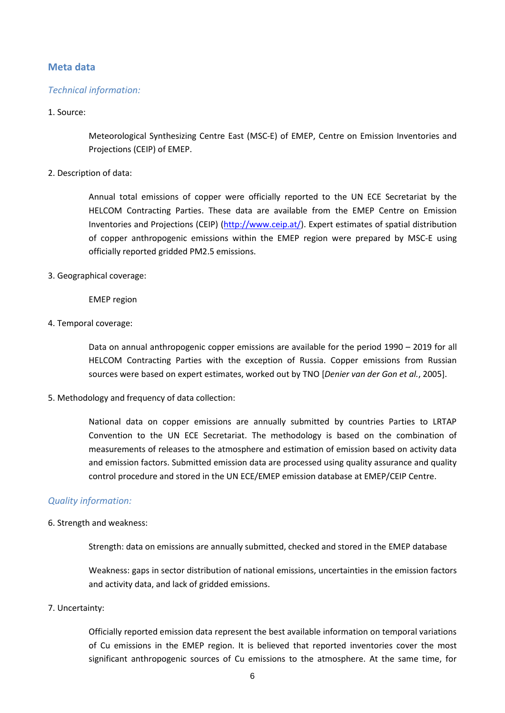# **Meta data**

## *Technical information:*

#### 1. Source:

Meteorological Synthesizing Centre East (MSC-E) of EMEP, Centre on Emission Inventories and Projections (CEIP) of EMEP.

### 2. Description of data:

Annual total emissions of copper were officially reported to the UN ECE Secretariat by the HELCOM Contracting Parties. These data are available from the EMEP Centre on Emission Inventories and Projections (CEIP) [\(http://www.ceip.at/\)](http://www.ceip.at/). Expert estimates of spatial distribution of copper anthropogenic emissions within the EMEP region were prepared by MSC-E using officially reported gridded PM2.5 emissions.

### 3. Geographical coverage:

EMEP region

4. Temporal coverage:

Data on annual anthropogenic copper emissions are available for the period 1990 – 2019 for all HELCOM Contracting Parties with the exception of Russia. Copper emissions from Russian sources were based on expert estimates, worked out by TNO [*Denier van der Gon et al.*, 2005].

5. Methodology and frequency of data collection:

National data on copper emissions are annually submitted by countries Parties to LRTAP Convention to the UN ECE Secretariat. The methodology is based on the combination of measurements of releases to the atmosphere and estimation of emission based on activity data and emission factors. Submitted emission data are processed using quality assurance and quality control procedure and stored in the UN ECE/EMEP emission database at EMEP/CEIP Centre.

### *Quality information:*

6. Strength and weakness:

Strength: data on emissions are annually submitted, checked and stored in the EMEP database

Weakness: gaps in sector distribution of national emissions, uncertainties in the emission factors and activity data, and lack of gridded emissions.

7. Uncertainty:

Officially reported emission data represent the best available information on temporal variations of Cu emissions in the EMEP region. It is believed that reported inventories cover the most significant anthropogenic sources of Cu emissions to the atmosphere. At the same time, for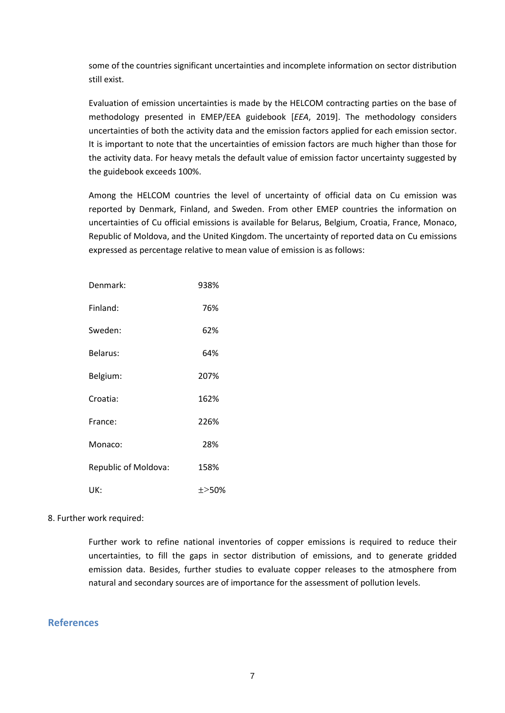some of the countries significant uncertainties and incomplete information on sector distribution still exist.

Evaluation of emission uncertainties is made by the HELCOM contracting parties on the base of methodology presented in EMEP/EEA guidebook [*EEA*, 2019]. The methodology considers uncertainties of both the activity data and the emission factors applied for each emission sector. It is important to note that the uncertainties of emission factors are much higher than those for the activity data. For heavy metals the default value of emission factor uncertainty suggested by the guidebook exceeds 100%.

Among the HELCOM countries the level of uncertainty of official data on Cu emission was reported by Denmark, Finland, and Sweden. From other EMEP countries the information on uncertainties of Cu official emissions is available for Belarus, Belgium, Croatia, France, Monaco, Republic of Moldova, and the United Kingdom. The uncertainty of reported data on Cu emissions expressed as percentage relative to mean value of emission is as follows:

| Denmark:             | 938%  |
|----------------------|-------|
| Finland:             | 76%   |
| Sweden:              | 62%   |
| Belarus:             | 64%   |
| Belgium:             | 207%  |
| Croatia:             | 162%  |
| France:              | 226%  |
| Monaco:              | 28%   |
| Republic of Moldova: | 158%  |
| UK:                  | ±>50% |

#### 8. Further work required:

Further work to refine national inventories of copper emissions is required to reduce their uncertainties, to fill the gaps in sector distribution of emissions, and to generate gridded emission data. Besides, further studies to evaluate copper releases to the atmosphere from natural and secondary sources are of importance for the assessment of pollution levels.

## **References**